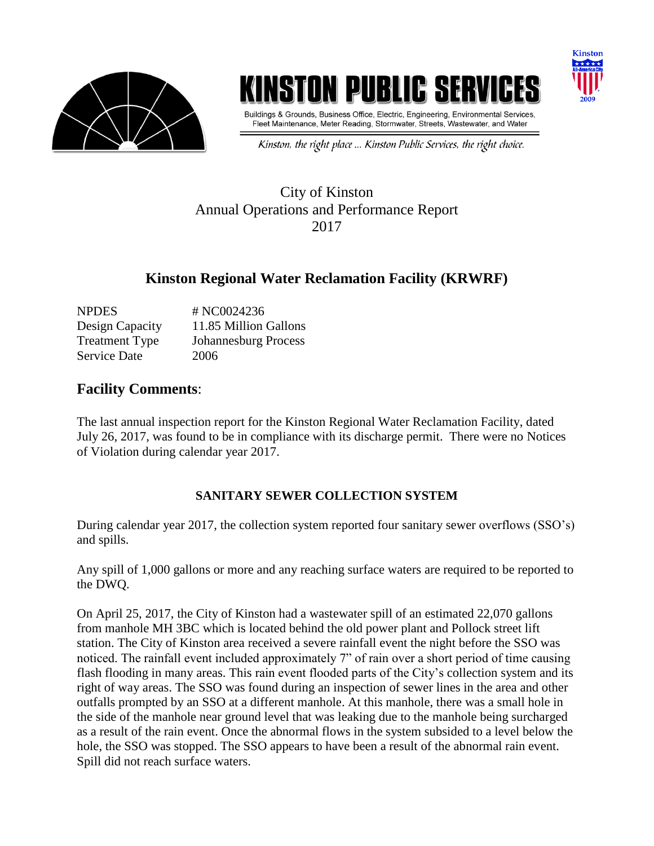

# INSTON PUBLIC SE



Buildings & Grounds, Business Office, Electric, Engineering, Environmental Services, Fleet Maintenance, Meter Reading, Stormwater, Streets, Wastewater, and Water

Kinston, the right place ... Kinston Public Services, the right choice.

### City of Kinston Annual Operations and Performance Report 2017

## **Kinston Regional Water Reclamation Facility (KRWRF)**

| <b>NPDES</b>          | # NC0024236                 |
|-----------------------|-----------------------------|
| Design Capacity       | 11.85 Million Gallons       |
| <b>Treatment Type</b> | <b>Johannesburg Process</b> |
| <b>Service Date</b>   | 2006                        |

#### **Facility Comments**:

The last annual inspection report for the Kinston Regional Water Reclamation Facility, dated July 26, 2017, was found to be in compliance with its discharge permit. There were no Notices of Violation during calendar year 2017.

#### **SANITARY SEWER COLLECTION SYSTEM**

During calendar year 2017, the collection system reported four sanitary sewer overflows (SSO's) and spills.

Any spill of 1,000 gallons or more and any reaching surface waters are required to be reported to the DWQ.

On April 25, 2017, the City of Kinston had a wastewater spill of an estimated 22,070 gallons from manhole MH 3BC which is located behind the old power plant and Pollock street lift station. The City of Kinston area received a severe rainfall event the night before the SSO was noticed. The rainfall event included approximately 7" of rain over a short period of time causing flash flooding in many areas. This rain event flooded parts of the City's collection system and its right of way areas. The SSO was found during an inspection of sewer lines in the area and other outfalls prompted by an SSO at a different manhole. At this manhole, there was a small hole in the side of the manhole near ground level that was leaking due to the manhole being surcharged as a result of the rain event. Once the abnormal flows in the system subsided to a level below the hole, the SSO was stopped. The SSO appears to have been a result of the abnormal rain event. Spill did not reach surface waters.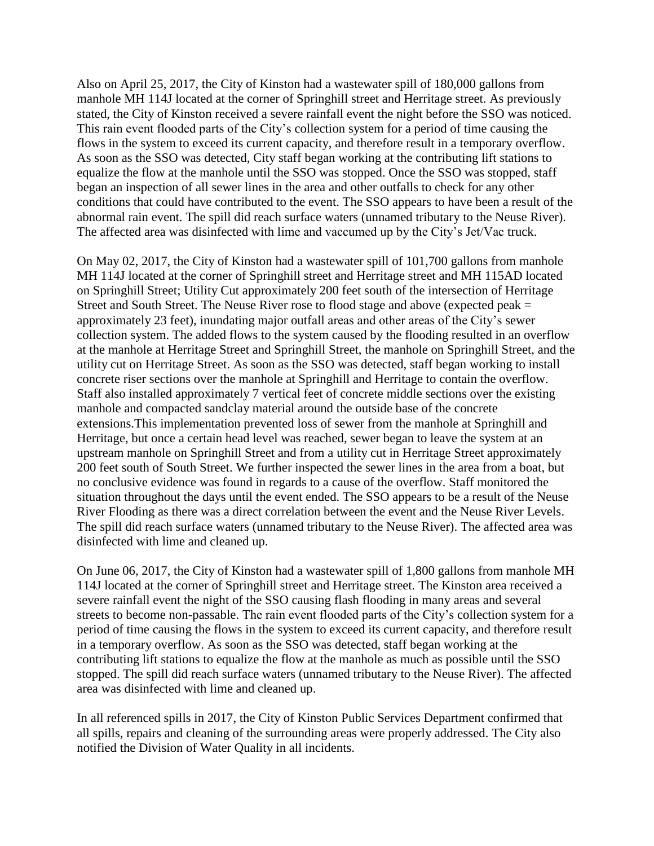Also on April 25, 2017, the City of Kinston had a wastewater spill of 180,000 gallons from manhole MH 114J located at the corner of Springhill street and Herritage street. As previously stated, the City of Kinston received a severe rainfall event the night before the SSO was noticed. This rain event flooded parts of the City's collection system for a period of time causing the flows in the system to exceed its current capacity, and therefore result in a temporary overflow. As soon as the SSO was detected, City staff began working at the contributing lift stations to equalize the flow at the manhole until the SSO was stopped. Once the SSO was stopped, staff began an inspection of all sewer lines in the area and other outfalls to check for any other conditions that could have contributed to the event. The SSO appears to have been a result of the abnormal rain event. The spill did reach surface waters (unnamed tributary to the Neuse River). The affected area was disinfected with lime and vaccumed up by the City's Jet/Vac truck.

On May 02, 2017, the City of Kinston had a wastewater spill of 101,700 gallons from manhole MH 114J located at the corner of Springhill street and Herritage street and MH 115AD located on Springhill Street; Utility Cut approximately 200 feet south of the intersection of Herritage Street and South Street. The Neuse River rose to flood stage and above (expected peak = approximately 23 feet), inundating major outfall areas and other areas of the City's sewer collection system. The added flows to the system caused by the flooding resulted in an overflow at the manhole at Herritage Street and Springhill Street, the manhole on Springhill Street, and the utility cut on Herritage Street. As soon as the SSO was detected, staff began working to install concrete riser sections over the manhole at Springhill and Herritage to contain the overflow. Staff also installed approximately 7 vertical feet of concrete middle sections over the existing manhole and compacted sandclay material around the outside base of the concrete extensions.This implementation prevented loss of sewer from the manhole at Springhill and Herritage, but once a certain head level was reached, sewer began to leave the system at an upstream manhole on Springhill Street and from a utility cut in Herritage Street approximately 200 feet south of South Street. We further inspected the sewer lines in the area from a boat, but no conclusive evidence was found in regards to a cause of the overflow. Staff monitored the situation throughout the days until the event ended. The SSO appears to be a result of the Neuse River Flooding as there was a direct correlation between the event and the Neuse River Levels. The spill did reach surface waters (unnamed tributary to the Neuse River). The affected area was disinfected with lime and cleaned up.

On June 06, 2017, the City of Kinston had a wastewater spill of 1,800 gallons from manhole MH 114J located at the corner of Springhill street and Herritage street. The Kinston area received a severe rainfall event the night of the SSO causing flash flooding in many areas and several streets to become non-passable. The rain event flooded parts of the City's collection system for a period of time causing the flows in the system to exceed its current capacity, and therefore result in a temporary overflow. As soon as the SSO was detected, staff began working at the contributing lift stations to equalize the flow at the manhole as much as possible until the SSO stopped. The spill did reach surface waters (unnamed tributary to the Neuse River). The affected area was disinfected with lime and cleaned up.

In all referenced spills in 2017, the City of Kinston Public Services Department confirmed that all spills, repairs and cleaning of the surrounding areas were properly addressed. The City also notified the Division of Water Quality in all incidents.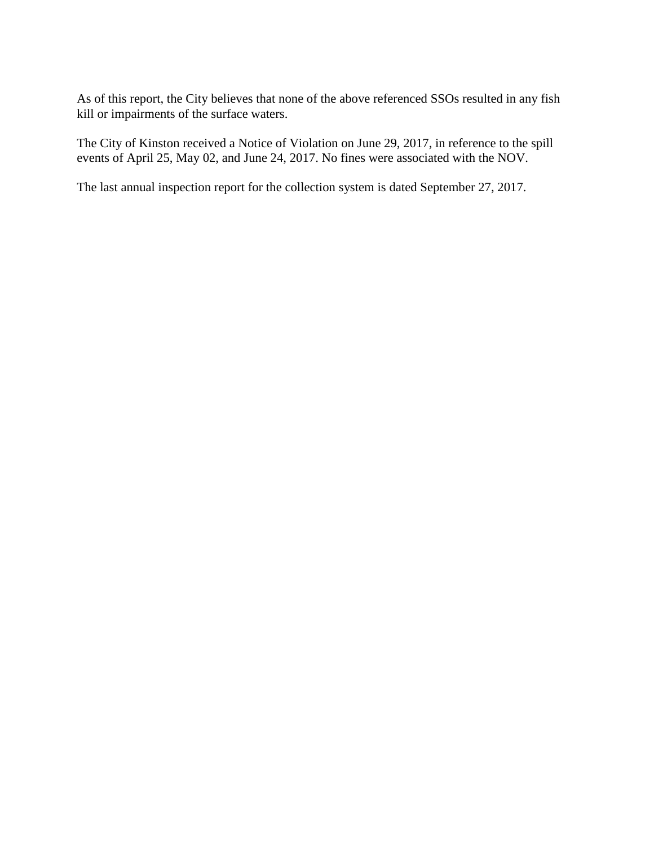As of this report, the City believes that none of the above referenced SSOs resulted in any fish kill or impairments of the surface waters.

The City of Kinston received a Notice of Violation on June 29, 2017, in reference to the spill events of April 25, May 02, and June 24, 2017. No fines were associated with the NOV.

The last annual inspection report for the collection system is dated September 27, 2017.